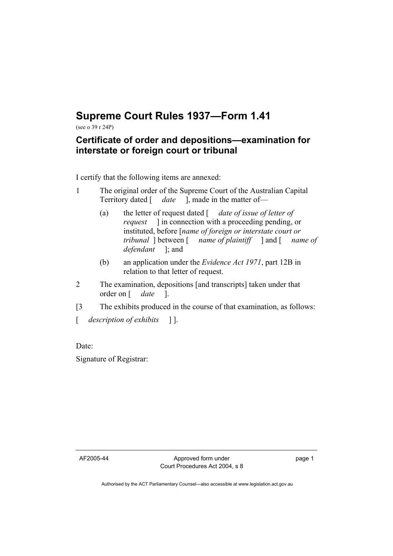## **Supreme Court Rules 1937—Form 1.41**

(see o 39 r 24P)

## **Certificate of order and depositions—examination for interstate or foreign court or tribunal**

I certify that the following items are annexed:

- 1 The original order of the Supreme Court of the Australian Capital Territory dated [ *date* ], made in the matter of—
	- (a) the letter of request dated [ *date of issue of letter of request* ] in connection with a proceeding pending, or instituted, before [*name of foreign or interstate court or tribunal* ] between [ *name of plaintiff* ] and [ *name of defendant* ]; and
	- (b) an application under the *Evidence Act 1971*, part 12B in relation to that letter of request.
- 2 The examination, depositions [and transcripts] taken under that order on [ *date* ].
- [3 The exhibits produced in the course of that examination, as follows:

[ *description of exhibits* ] ].

Date:

Signature of Registrar:

AF2005-44 Approved form under Court Procedures Act 2004, s 8 page 1

Authorised by the ACT Parliamentary Counsel—also accessible at www.legislation.act.gov.au